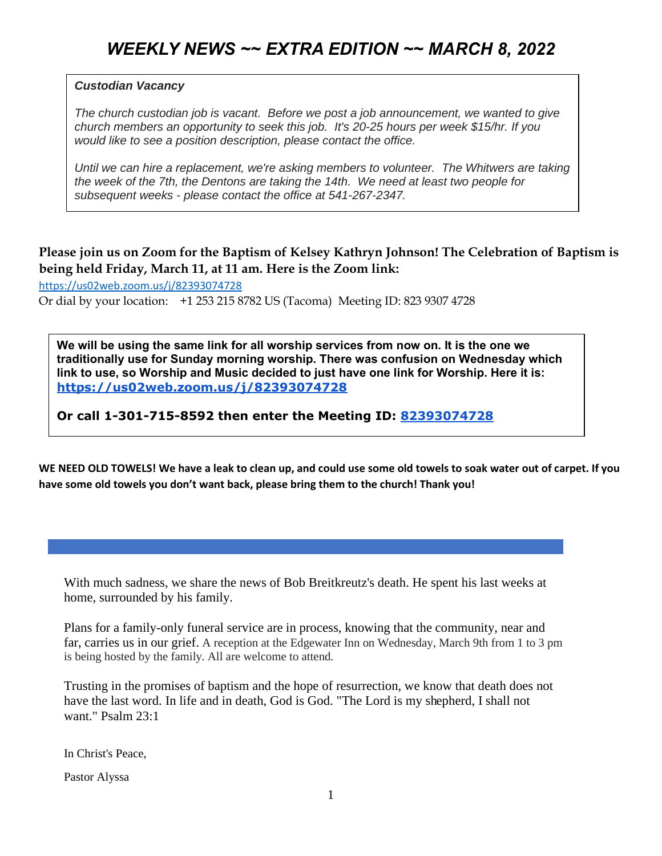## *Custodian Vacancy*

*The church custodian job is vacant. Before we post a job announcement, we wanted to give church members an opportunity to seek this job. It's 20-25 hours per week \$15/hr. If you would like to see a position description, please contact the office.*

*Until we can hire a replacement, we're asking members to volunteer. The Whitwers are taking the week of the 7th, the Dentons are taking the 14th. We need at least two people for subsequent weeks - please contact the office at 541-267-2347.*

## **Please join us on Zoom for the Baptism of Kelsey Kathryn Johnson! The Celebration of Baptism is being held Friday, March 11, at 11 am. Here is the Zoom link:**

<https://us02web.zoom.us/j/82393074728> Or dial by your location: +1 253 215 8782 US (Tacoma) Meeting ID: 823 9307 4728

**We will be using the same link for all worship services from now on. It is the one we traditionally use for Sunday morning worship. There was confusion on Wednesday which link to use, so Worship and Music decided to just have one link for Worship. Here it is: <https://us02web.zoom.us/j/82393074728>**

**Or call 1-301-715-8592 then enter the Meeting ID: [82393074728](https://us02web.zoom.us/j/82393074728)**

**WE NEED OLD TOWELS! We have a leak to clean up, and could use some old towels to soak water out of carpet. If you have some old towels you don't want back, please bring them to the church! Thank you!**

With much sadness, we share the news of Bob Breitkreutz's death. He spent his last weeks at home, surrounded by his family.

Plans for a family-only funeral service are in process, knowing that the community, near and far, carries us in our grief. A reception at the Edgewater Inn on Wednesday, March 9th from 1 to 3 pm is being hosted by the family. All are welcome to attend.

Trusting in the promises of baptism and the hope of resurrection, we know that death does not have the last word. In life and in death, God is God. "The Lord is my shepherd, I shall not want." Psalm 23:1

In Christ's Peace,

Pastor Alyssa